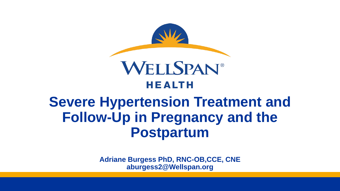

# **Severe Hypertension Treatment and Follow-Up in Pregnancy and the Postpartum**

**Adriane Burgess PhD, RNC-OB,CCE, CNE aburgess2@Wellspan.org**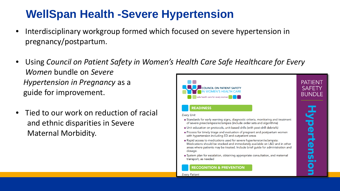### **WellSpan Health -Severe Hypertension**

- Interdisciplinary workgroup formed which focused on severe hypertension in pregnancy/postpartum.
- Using *Council on Patient Safety in Women's Health Care Safe Healthcare for Every Women* bundle on *Severe Hypertension in Pregnancy* as a **PATIFNT SAFETY COUNCIL ON PATIENT SAFETY** guide for improvement. **WOMEN'S HEALTH CARE BUNDLE**
- Tied to our work on reduction of racial and ethnic disparities in Severe Maternal Morbidity.



#### **READINESS**

**Every Unit** 

- Standards for early warning signs, diagnostic criteria, monitoring and treatment of severe preeclampsia/eclampsia (include order sets and algorithms)
- Unit education on protocols, unit-based drills (with post-drill debriefs)
- Process for timely triage and evaluation of pregnant and postpartum women with hypertension including ED and outpatient areas
- Rapid access to medications used for severe hypertension/eclampsia: Medications should be stocked and immediately available on L&D and in other areas where patients may be treated. Include brief guide for administration and dosage.
- System plan for escalation, obtaining appropriate consultation, and maternal transport, as needed

**RECOGNITION & PREVENTION** 

**Every Patient**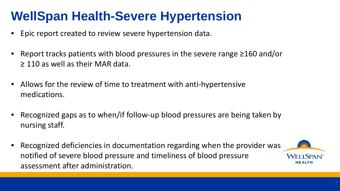# **WellSpan Health-Severe Hypertension**

- Epic report created to review severe hypertension data.
- Report tracks patients with blood pressures in the severe range ≥160 and/or  $\geq$  110 as well as their MAR data.
- Allows for the review of time to treatment with anti-hypertensive medications.
- Recognized gaps as to when/if follow-up blood pressures are being taken by nursing staff.
- Recognized deficiencies in documentation regarding when the provider was notified of severe blood pressure and timeliness of blood pressure assessment after administration.

**WEITSPA**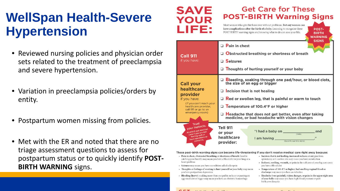# **WellSpan Health -Severe Hypertension**

- Reviewed nursing policies and physician order sets related to the treatment of preeclampsia and severe hypertension.
- Variation in preeclampsia policies/orders by entity.
- Postpartum women missing from policies.
- Met with the ER and noted that there are no triage assessment questions to assess for postpartum status or to quickly identify **POST - BIRTH WARNING** signs.

#### **Get Care for These POST-BIRTH Warning Signs**

Most women who give birth recover without problems. But any woman can have complications after the birth of a baby. Learning to recognize these POST-BIRTH warning signs and knowing what to do can save your life.



| <b>Call 911</b><br>if you have:                                                                                                                           | <b>D</b> Pain in chest<br>Obstructed breathing or shortness of breath<br>$\square$ Seizures<br>$\Box$ Thoughts of hurting yourself or your baby                                                                                                                                                                                                |
|-----------------------------------------------------------------------------------------------------------------------------------------------------------|------------------------------------------------------------------------------------------------------------------------------------------------------------------------------------------------------------------------------------------------------------------------------------------------------------------------------------------------|
| <b>Call your</b><br>healthcare<br>provider<br>if you have:<br>(If you can't reach your<br>healthcare provider.<br>call 911 or go to an<br>emergency room) | Bleeding, soaking through one pad/hour, or blood clots,<br>the size of an egg or bigger<br>Incision that is not healing<br>□<br>Red or swollen leg, that is painful or warm to touch<br>□.<br>□ Temperature of 100.4°F or higher<br>Headache that does not get better, even after taking<br>❏<br>medicine, or bad headache with vision changes |
| Trust<br>your instincts.<br>ALWAYS get medical<br>care if you are not<br>feeling well or<br>have questions or<br>concerns.                                | <b>Tell 911</b><br>"I had a baby on ______<br>and<br>or your<br>(Date)<br>healthcare<br>J <sub>2</sub><br>I am having<br>(Specific warning signs)<br>provider:                                                                                                                                                                                 |

These post-birth warning signs can become life-threatening if you don't receive medical care right away because:

- Pain in chest, obstructed breathing or shortness of breath (trouble catching your breath) may mean you have a blood clot in your lung or a heart problem
- Seizures may mean you have a condition called eclampsia
- Thoughts or feelings of wanting to hurt yourself or your baby may mean you have postpartum depression
- Bleeding (heavy), soaking more than one pad in an hour or passing an egg-sized clot or bigger may mean you have an obstetric hemorrhage
- Incision that is not healing, increased redness or any pus from episiotomy or C-section site may mean you have an infection
- Redness, swelling, warmth, or pain in the calf area of your leg may mean you have a blood clot
- Temperature of 100.4°F or higher, bad smelling vaginal blood or discharge may mean you have an infection
- Headache (very painful), vision changes, or pain in the upper right area of your belly may mean you have high blood pressure or post birth preeclampsia



SAVE

YOUR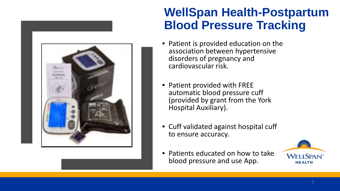

### **WellSpan Health-Postpartum Blood Pressure Tracking**

- Patient is provided education on the association between hypertensive disorders of pregnancy and cardiovascular risk.
- Patient provided with FREE automatic blood pressure cuff (provided by grant from the York Hospital Auxiliary).
- Cuff validated against hospital cuff to ensure accuracy.
- Patients educated on how to take blood pressure and use App.

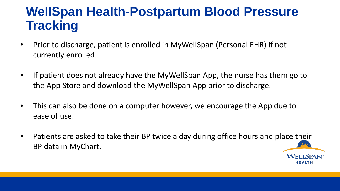# **WellSpan Health-Postpartum Blood Pressure Tracking**

- Prior to discharge, patient is enrolled in MyWellSpan (Personal EHR) if not currently enrolled.
- If patient does not already have the MyWellSpan App, the nurse has them go to the App Store and download the MyWellSpan App prior to discharge.
- This can also be done on a computer however, we encourage the App due to ease of use.
- Patients are asked to take their BP twice a day during office hours and place their BP data in MyChart.

**WEI I SPAN** HEALTH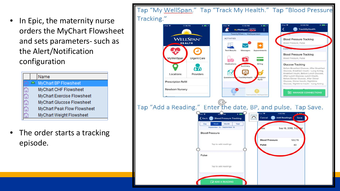In Epic, the maternity nurse orders the MyChart Flowsheet and sets parameters- such as the Alert/Notification configuration

|   | Name                        |
|---|-----------------------------|
| △ | <b>MyChart BP Flowsheet</b> |
|   | MyChart CHF Flowsheet       |
|   | MyChart Exercise Flowsheet  |
|   | MyChart Glucose Flowsheet   |
|   | MyChart Peak Flow Flowsheet |
|   | MyChart Weight Flowsheet    |

The order starts a tracking episode.